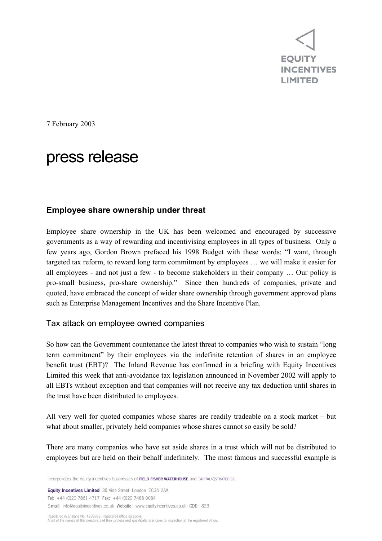**EOUITY INCENTIVES LIMITED** 

7 February 2003

# press release

# **Employee share ownership under threat**

Employee share ownership in the UK has been welcomed and encouraged by successive governments as a way of rewarding and incentivising employees in all types of business. Only a few years ago, Gordon Brown prefaced his 1998 Budget with these words: "I want, through targeted tax reform, to reward long term commitment by employees … we will make it easier for all employees - and not just a few - to become stakeholders in their company … Our policy is pro-small business, pro-share ownership." Since then hundreds of companies, private and quoted, have embraced the concept of wider share ownership through government approved plans such as Enterprise Management Incentives and the Share Incentive Plan.

## Tax attack on employee owned companies

So how can the Government countenance the latest threat to companies who wish to sustain "long term commitment" by their employees via the indefinite retention of shares in an employee benefit trust (EBT)? The Inland Revenue has confirmed in a briefing with Equity Incentives Limited this week that anti-avoidance tax legislation announced in November 2002 will apply to all EBTs without exception and that companies will not receive any tax deduction until shares in the trust have been distributed to employees.

All very well for quoted companies whose shares are readily tradeable on a stock market – but what about smaller, privately held companies whose shares cannot so easily be sold?

There are many companies who have set aside shares in a trust which will not be distributed to employees but are held on their behalf indefinitely. The most famous and successful example is

Incorporates the equity incentives businesses of FIELD FISHER WATERHOUSE and CAPITAL<JSTRATEGIES.

Equity Incentives Limited 35 Vine Street London EC3N 2AA Tel: +44 (0)20 7861 4717 Fax: +44 (0)20 7488 0084 E-mail: info@equityincentives.co.uk Website: www.equityincentives.co.uk CDE: 823

Registered in England No. 4238893. Registered office as above. A list of the names of the directors and their professional qualifications is onen to inspection at the registered office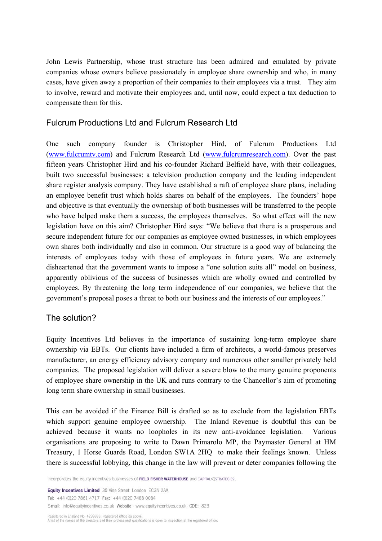John Lewis Partnership, whose trust structure has been admired and emulated by private companies whose owners believe passionately in employee share ownership and who, in many cases, have given away a proportion of their companies to their employees via a trust. They aim to involve, reward and motivate their employees and, until now, could expect a tax deduction to compensate them for this.

# Fulcrum Productions Ltd and Fulcrum Research Ltd

One such company founder is Christopher Hird, of Fulcrum Productions Ltd (www.fulcrumtv.com) and Fulcrum Research Ltd (www.fulcrumresearch.com). Over the past fifteen years Christopher Hird and his co-founder Richard Belfield have, with their colleagues, built two successful businesses: a television production company and the leading independent share register analysis company. They have established a raft of employee share plans, including an employee benefit trust which holds shares on behalf of the employees. The founders' hope and objective is that eventually the ownership of both businesses will be transferred to the people who have helped make them a success, the employees themselves. So what effect will the new legislation have on this aim? Christopher Hird says: "We believe that there is a prosperous and secure independent future for our companies as employee owned businesses, in which employees own shares both individually and also in common. Our structure is a good way of balancing the interests of employees today with those of employees in future years. We are extremely disheartened that the government wants to impose a "one solution suits all" model on business, apparently oblivious of the success of businesses which are wholly owned and controlled by employees. By threatening the long term independence of our companies, we believe that the government's proposal poses a threat to both our business and the interests of our employees."

## The solution?

Equity Incentives Ltd believes in the importance of sustaining long-term employee share ownership via EBTs. Our clients have included a firm of architects, a world-famous preserves manufacturer, an energy efficiency advisory company and numerous other smaller privately held companies. The proposed legislation will deliver a severe blow to the many genuine proponents of employee share ownership in the UK and runs contrary to the Chancellor's aim of promoting long term share ownership in small businesses.

This can be avoided if the Finance Bill is drafted so as to exclude from the legislation EBTs which support genuine employee ownership. The Inland Revenue is doubtful this can be achieved because it wants no loopholes in its new anti-avoidance legislation. Various organisations are proposing to write to Dawn Primarolo MP, the Paymaster General at HM Treasury, 1 Horse Guards Road, London SW1A 2HQ to make their feelings known. Unless there is successful lobbying, this change in the law will prevent or deter companies following the

Incorporates the equity incentives businesses of FIELD FISHER WATERHOUSE and CAPITAL<JSTRATEGIES.

Equity Incentives Limited 35 Vine Street London EC3N 2AA Tel: +44 (0)20 7861 4717 Fax: +44 (0)20 7488 0084 E-mail: info@equityincentives.co.uk Website: www.equityincentives.co.uk CDE: 823